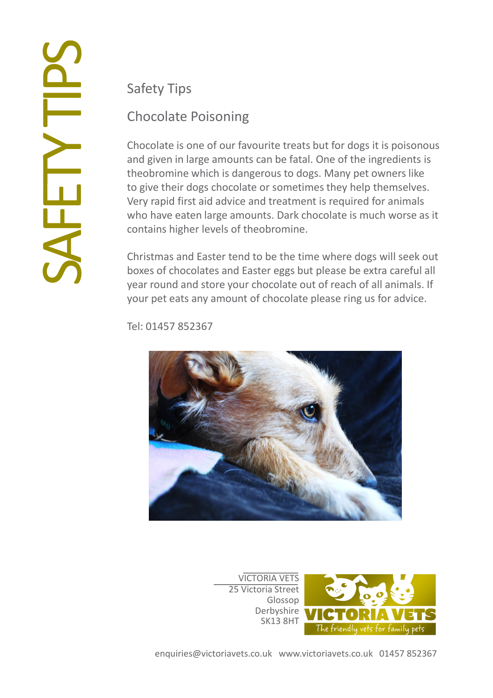### Safety Tips

# Chocolate Poisoning

Chocolate is one of our favourite treats but for dogs it is poisonous and given in large amounts can be fatal. One of the ingredients is theobromine which is dangerous to dogs. Many pet owners like to give their dogs chocolate or sometimes they help themselves. Very rapid first aid advice and treatment is required for animals who have eaten large amounts. Dark chocolate is much worse as it contains higher levels of theobromine.

Christmas and Easter tend to be the time where dogs will seek out boxes of chocolates and Easter eggs but please be extra careful all year round and store your chocolate out of reach of all animals. If your pet eats any amount of chocolate please ring us for advice.

Tel: 01457 852367



VICTORIA VETS 25 Victoria Street Glossop Derbyshire SK13 8HT

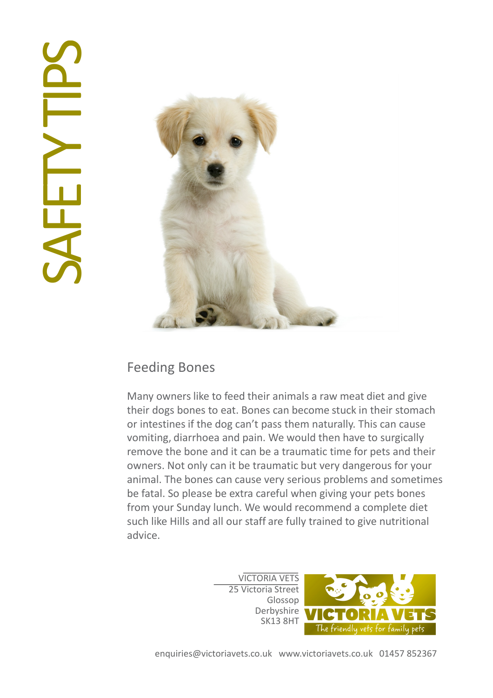# **SHETT**



### Feeding Bones

Many owners like to feed their animals a raw meat diet and give their dogs bones to eat. Bones can become stuck in their stomach or intestines if the dog can't pass them naturally. This can cause vomiting, diarrhoea and pain. We would then have to surgically remove the bone and it can be a traumatic time for pets and their owners. Not only can it be traumatic but very dangerous for your animal. The bones can cause very serious problems and sometimes be fatal. So please be extra careful when giving your pets bones from your Sunday lunch. We would recommend a complete diet such like Hills and all our staff are fully trained to give nutritional advice.

> VICTORIA VETS 25 Victoria Street Glossop Derbyshire SK13 8HT